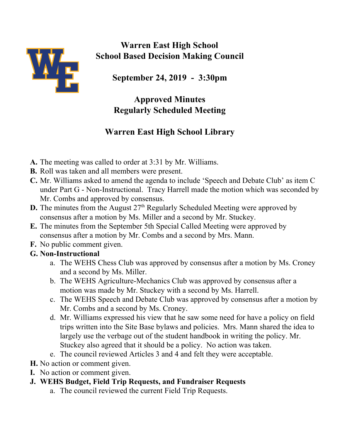

**Warren East High School School Based Decision Making Council**

**September 24, 2019 - 3:30pm**

## **Approved Minutes Regularly Scheduled Meeting**

# **Warren East High School Library**

- **A.** The meeting was called to order at 3:31 by Mr. Williams.
- **B.** Roll was taken and all members were present.
- **C.** Mr. Williams asked to amend the agenda to include 'Speech and Debate Club' as item C under Part G - Non-Instructional. Tracy Harrell made the motion which was seconded by Mr. Combs and approved by consensus.
- **D.** The minutes from the August 27<sup>th</sup> Regularly Scheduled Meeting were approved by consensus after a motion by Ms. Miller and a second by Mr. Stuckey.
- **E.** The minutes from the September 5th Special Called Meeting were approved by consensus after a motion by Mr. Combs and a second by Mrs. Mann.
- **F.** No public comment given.

### **G. Non-Instructional**

- a. The WEHS Chess Club was approved by consensus after a motion by Ms. Croney and a second by Ms. Miller.
- b. The WEHS Agriculture-Mechanics Club was approved by consensus after a motion was made by Mr. Stuckey with a second by Ms. Harrell.
- c. The WEHS Speech and Debate Club was approved by consensus after a motion by Mr. Combs and a second by Ms. Croney.
- d. Mr. Williams expressed his view that he saw some need for have a policy on field trips written into the Site Base bylaws and policies. Mrs. Mann shared the idea to largely use the verbage out of the student handbook in writing the policy. Mr. Stuckey also agreed that it should be a policy. No action was taken.
- e. The council reviewed Articles 3 and 4 and felt they were acceptable.
- **H.** No action or comment given.
- **I.** No action or comment given.
- **J. WEHS Budget, Field Trip Requests, and Fundraiser Requests**
	- a. The council reviewed the current Field Trip Requests.